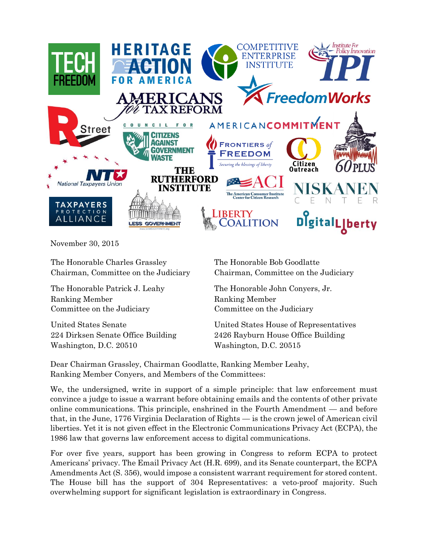

November 30, 2015

The Honorable Charles Grassley The Honorable Bob Goodlatte Chairman, Committee on the Judiciary Chairman, Committee on the Judiciary

Ranking Member Committee on the Judiciary

Washington, D.C. 20510 Washington, D.C. 20515

The Honorable Patrick J. Leahy The Honorable John Conyers, Jr. Ranking Member Committee on the Judiciary

United States Senate United States House of Representatives 224 Dirksen Senate Office Building 2426 Rayburn House Office Building

Dear Chairman Grassley, Chairman Goodlatte, Ranking Member Leahy, Ranking Member Conyers, and Members of the Committees:

We, the undersigned, write in support of a simple principle: that law enforcement must convince a judge to issue a warrant before obtaining emails and the contents of other private online communications. This principle, enshrined in the Fourth Amendment — and before that, in the June, 1776 Virginia Declaration of Rights — is the crown jewel of American civil liberties. Yet it is not given effect in the Electronic Communications Privacy Act (ECPA), the 1986 law that governs law enforcement access to digital communications.

For over five years, support has been growing in Congress to reform ECPA to protect Americans' privacy. The Email Privacy Act (H.R. 699), and its Senate counterpart, the ECPA Amendments Act (S. 356), would impose a consistent warrant requirement for stored content. The House bill has the support of 304 Representatives: a veto-proof majority. Such overwhelming support for significant legislation is extraordinary in Congress.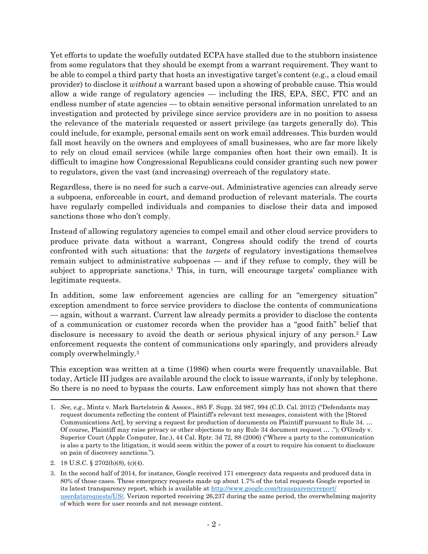Yet efforts to update the woefully outdated ECPA have stalled due to the stubborn insistence from some regulators that they should be exempt from a warrant requirement. They want to be able to compel a third party that hosts an investigative target's content (e.g., a cloud email provider) to disclose it *without* a warrant based upon a showing of probable cause. This would allow a wide range of regulatory agencies — including the IRS, EPA, SEC, FTC and an endless number of state agencies — to obtain sensitive personal information unrelated to an investigation and protected by privilege since service providers are in no position to assess the relevance of the materials requested or assert privilege (as targets generally do). This could include, for example, personal emails sent on work email addresses. This burden would fall most heavily on the owners and employees of small businesses, who are far more likely to rely on cloud email services (while large companies often host their own email). It is difficult to imagine how Congressional Republicans could consider granting such new power to regulators, given the vast (and increasing) overreach of the regulatory state.

Regardless, there is no need for such a carve-out. Administrative agencies can already serve a subpoena, enforceable in court, and demand production of relevant materials. The courts have regularly compelled individuals and companies to disclose their data and imposed sanctions those who don't comply.

Instead of allowing regulatory agencies to compel email and other cloud service providers to produce private data without a warrant, Congress should codify the trend of courts confronted with such situations: that the *targets* of regulatory investigations themselves remain subject to administrative subpoenas — and if they refuse to comply, they will be subject to appropriate sanctions.<sup>1</sup> This, in turn, will encourage targets' compliance with legitimate requests.

In addition, some law enforcement agencies are calling for an "emergency situation" exception amendment to force service providers to disclose the contents of communications — again, without a warrant. Current law already permits a provider to disclose the contents of a communication or customer records when the provider has a "good faith" belief that disclosure is necessary to avoid the death or serious physical injury of any person.<sup>2</sup> Law enforcement requests the content of communications only sparingly, and providers already comply overwhelmingly.<sup>3</sup>

This exception was written at a time (1986) when courts were frequently unavailable. But today, Article III judges are available around the clock to issue warrants, if only by telephone. So there is no need to bypass the courts. Law enforcement simply has not shown that there

 1. *See, e.g.*, Mintz v. Mark Bartelstein & Assocs., 885 F. Supp. 2d 987, 994 (C.D. Cal. 2012) ("Defendants may request documents reflecting the content of Plaintiff's relevant text messages, consistent with the [Stored Communications Act], by serving a request for production of documents on Plaintiff pursuant to Rule 34. … Of course, Plaintiff may raise privacy or other objections to any Rule 34 document request … ."); O'Grady v. Superior Court (Apple Computer, Inc.), 44 Cal. Rptr. 3d 72, 88 (2006) ("Where a party to the communication is also a party to the litigation, it would seem within the power of a court to require his consent to disclosure on pain of discovery sanctions.").

<sup>2.</sup> 18 U.S.C. § 2702(b)(8), (c)(4).

<sup>3.</sup> In the second half of 2014, for instance, Google received 171 emergency data requests and produced data in 80% of those cases. These emergency requests made up about 1.7% of the total requests Google reported in its latest transparency report, which is available at [http://www.google.com/transparencyreport/](http://www.google.com/transparencyreport/userdatarequests/US/) [userdatarequests/US/.](http://www.google.com/transparencyreport/userdatarequests/US/) Verizon reported receiving 26,237 during the same period, the overwhelming majority of which were for user records and not message content.